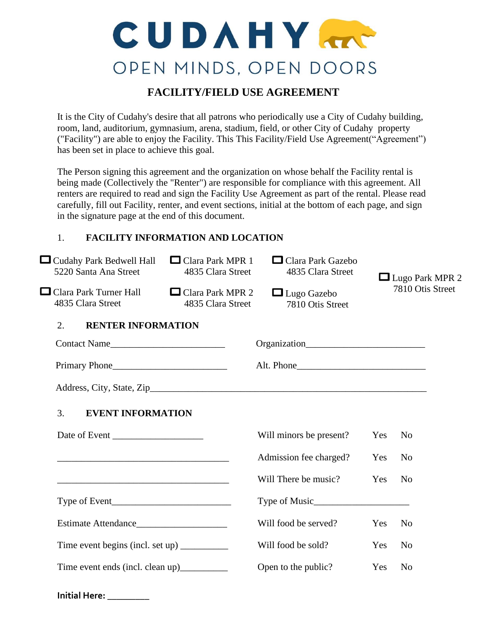# CUDAHY OPEN MINDS, OPEN DOORS

## **FACILITY/FIELD USE AGREEMENT**

It is the City of Cudahy's desire that all patrons who periodically use a City of Cudahy building, room, land, auditorium, gymnasium, arena, stadium, field, or other City of Cudahy property ("Facility") are able to enjoy the Facility. This This Facility/Field Use Agreement("Agreement") has been set in place to achieve this goal.

The Person signing this agreement and the organization on whose behalf the Facility rental is being made (Collectively the "Renter") are responsible for compliance with this agreement. All renters are required to read and sign the Facility Use Agreement as part of the rental. Please read carefully, fill out Facility, renter, and event sections, initial at the bottom of each page, and sign in the signature page at the end of this document.

## 1. **FACILITY INFORMATION AND LOCATION**

| □ Cudahy Park Bedwell Hall<br>5220 Santa Ana Street                                                                  | $\Box$ Clara Park MPR 1<br>4835 Clara Street | $\Box$ Clara Park Gazebo<br>4835 Clara Street | $\Box$ Lugo Park MPR 2<br>7810 Otis Street |                |
|----------------------------------------------------------------------------------------------------------------------|----------------------------------------------|-----------------------------------------------|--------------------------------------------|----------------|
| $\Box$ Clara Park Turner Hall<br>4835 Clara Street                                                                   | $\Box$ Clara Park MPR 2<br>4835 Clara Street | $\Box$ Lugo Gazebo<br>7810 Otis Street        |                                            |                |
| 2.<br><b>RENTER INFORMATION</b>                                                                                      |                                              |                                               |                                            |                |
| Contact Name                                                                                                         |                                              |                                               |                                            |                |
| Primary Phone                                                                                                        |                                              |                                               |                                            |                |
|                                                                                                                      |                                              |                                               |                                            |                |
| 3.<br><b>EVENT INFORMATION</b>                                                                                       |                                              |                                               |                                            |                |
|                                                                                                                      |                                              | Will minors be present?                       | Yes                                        | N <sub>0</sub> |
|                                                                                                                      |                                              | Admission fee charged?                        | Yes                                        | N <sub>0</sub> |
| <u> 1989 - Johann John Stone, mars and de la provincia de la provincia de la provincia de la provincia de la pro</u> |                                              | Will There be music?                          | Yes                                        | N <sub>o</sub> |
|                                                                                                                      |                                              |                                               |                                            |                |
| Estimate Attendance                                                                                                  |                                              | Will food be served?                          | Yes                                        | N <sub>o</sub> |
|                                                                                                                      |                                              | Will food be sold?                            | Yes                                        | N <sub>0</sub> |
|                                                                                                                      |                                              | Open to the public?                           | Yes                                        | N <sub>o</sub> |
|                                                                                                                      |                                              |                                               |                                            |                |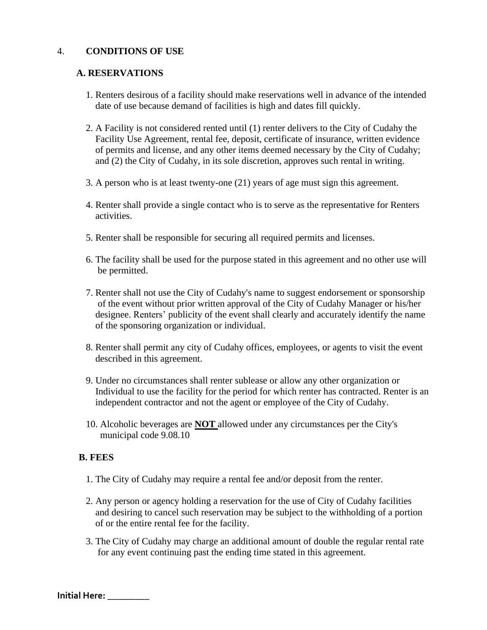#### 4. **CONDITIONS OF USE**

#### **A. RESERVATIONS**

- 1. Renters desirous of a facility should make reservations well in advance of the intended date of use because demand of facilities is high and dates fill quickly.
- 2. A Facility is not considered rented until (1) renter delivers to the City of Cudahy the Facility Use Agreement, rental fee, deposit, certificate of insurance, written evidence of permits and license, and any other items deemed necessary by the City of Cudahy; and (2) the City of Cudahy, in its sole discretion, approves such rental in writing.
- 3. A person who is at least twenty-one (21) years of age must sign this agreement.
- 4. Renter shall provide a single contact who is to serve as the representative for Renters activities.
- 5. Renter shall be responsible for securing all required permits and licenses.
- 6. The facility shall be used for the purpose stated in this agreement and no other use will be permitted.
- 7. Renter shall not use the City of Cudahy's name to suggest endorsement or sponsorship of the event without prior written approval of the City of Cudahy Manager or his/her designee. Renters' publicity of the event shall clearly and accurately identify the name of the sponsoring organization or individual.
- 8. Renter shall permit any city of Cudahy offices, employees, or agents to visit the event described in this agreement.
- 9. Under no circumstances shall renter sublease or allow any other organization or Individual to use the facility for the period for which renter has contracted. Renter is an independent contractor and not the agent or employee of the City of Cudahy.
- 10. Alcoholic beverages are **NOT** allowed under any circumstances per the City's municipal code 9.08.10

#### **B. FEES**

- 1. The City of Cudahy may require a rental fee and/or deposit from the renter.
- 2. Any person or agency holding a reservation for the use of City of Cudahy facilities and desiring to cancel such reservation may be subject to the withholding of a portion of or the entire rental fee for the facility.
- 3. The City of Cudahy may charge an additional amount of double the regular rental rate for any event continuing past the ending time stated in this agreement.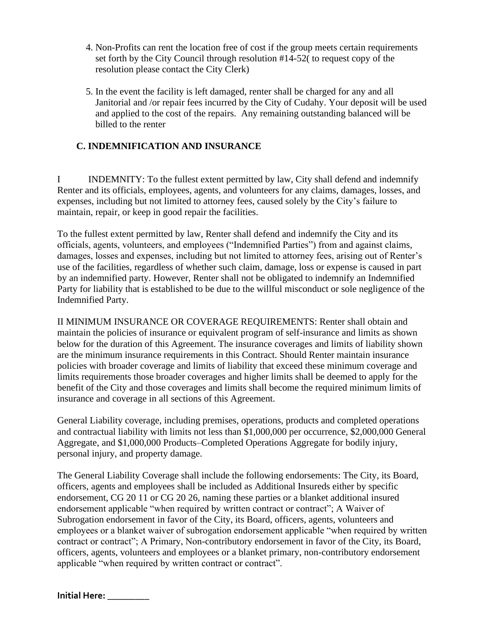- 4. Non-Profits can rent the location free of cost if the group meets certain requirements set forth by the City Council through resolution #14-52( to request copy of the resolution please contact the City Clerk)
- 5. In the event the facility is left damaged, renter shall be charged for any and all Janitorial and /or repair fees incurred by the City of Cudahy. Your deposit will be used and applied to the cost of the repairs. Any remaining outstanding balanced will be billed to the renter

## **C. INDEMNIFICATION AND INSURANCE**

I INDEMNITY: To the fullest extent permitted by law, City shall defend and indemnify Renter and its officials, employees, agents, and volunteers for any claims, damages, losses, and expenses, including but not limited to attorney fees, caused solely by the City's failure to maintain, repair, or keep in good repair the facilities.

To the fullest extent permitted by law, Renter shall defend and indemnify the City and its officials, agents, volunteers, and employees ("Indemnified Parties") from and against claims, damages, losses and expenses, including but not limited to attorney fees, arising out of Renter's use of the facilities, regardless of whether such claim, damage, loss or expense is caused in part by an indemnified party. However, Renter shall not be obligated to indemnify an Indemnified Party for liability that is established to be due to the willful misconduct or sole negligence of the Indemnified Party.

II MINIMUM INSURANCE OR COVERAGE REQUIREMENTS: Renter shall obtain and maintain the policies of insurance or equivalent program of self-insurance and limits as shown below for the duration of this Agreement. The insurance coverages and limits of liability shown are the minimum insurance requirements in this Contract. Should Renter maintain insurance policies with broader coverage and limits of liability that exceed these minimum coverage and limits requirements those broader coverages and higher limits shall be deemed to apply for the benefit of the City and those coverages and limits shall become the required minimum limits of insurance and coverage in all sections of this Agreement.

General Liability coverage, including premises, operations, products and completed operations and contractual liability with limits not less than \$1,000,000 per occurrence, \$2,000,000 General Aggregate, and \$1,000,000 Products–Completed Operations Aggregate for bodily injury, personal injury, and property damage.

The General Liability Coverage shall include the following endorsements: The City, its Board, officers, agents and employees shall be included as Additional Insureds either by specific endorsement, CG 20 11 or CG 20 26, naming these parties or a blanket additional insured endorsement applicable "when required by written contract or contract"; A Waiver of Subrogation endorsement in favor of the City, its Board, officers, agents, volunteers and employees or a blanket waiver of subrogation endorsement applicable "when required by written contract or contract"; A Primary, Non-contributory endorsement in favor of the City, its Board, officers, agents, volunteers and employees or a blanket primary, non-contributory endorsement applicable "when required by written contract or contract".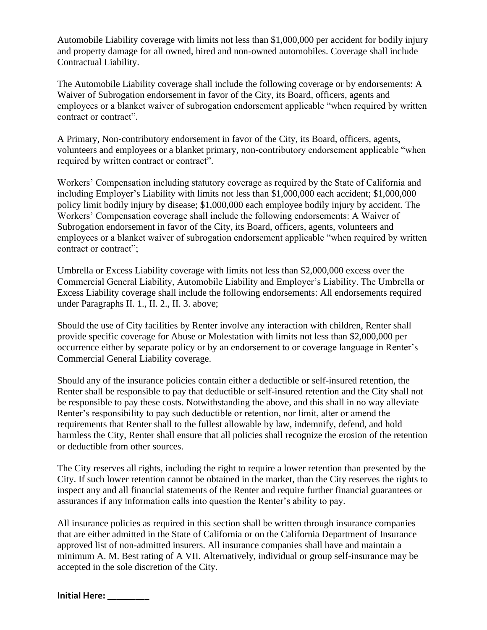Automobile Liability coverage with limits not less than \$1,000,000 per accident for bodily injury and property damage for all owned, hired and non-owned automobiles. Coverage shall include Contractual Liability.

The Automobile Liability coverage shall include the following coverage or by endorsements: A Waiver of Subrogation endorsement in favor of the City, its Board, officers, agents and employees or a blanket waiver of subrogation endorsement applicable "when required by written contract or contract".

A Primary, Non-contributory endorsement in favor of the City, its Board, officers, agents, volunteers and employees or a blanket primary, non-contributory endorsement applicable "when required by written contract or contract".

Workers' Compensation including statutory coverage as required by the State of California and including Employer's Liability with limits not less than \$1,000,000 each accident; \$1,000,000 policy limit bodily injury by disease; \$1,000,000 each employee bodily injury by accident. The Workers' Compensation coverage shall include the following endorsements: A Waiver of Subrogation endorsement in favor of the City, its Board, officers, agents, volunteers and employees or a blanket waiver of subrogation endorsement applicable "when required by written contract or contract";

Umbrella or Excess Liability coverage with limits not less than \$2,000,000 excess over the Commercial General Liability, Automobile Liability and Employer's Liability. The Umbrella or Excess Liability coverage shall include the following endorsements: All endorsements required under Paragraphs II. 1., II. 2., II. 3. above;

Should the use of City facilities by Renter involve any interaction with children, Renter shall provide specific coverage for Abuse or Molestation with limits not less than \$2,000,000 per occurrence either by separate policy or by an endorsement to or coverage language in Renter's Commercial General Liability coverage.

Should any of the insurance policies contain either a deductible or self-insured retention, the Renter shall be responsible to pay that deductible or self-insured retention and the City shall not be responsible to pay these costs. Notwithstanding the above, and this shall in no way alleviate Renter's responsibility to pay such deductible or retention, nor limit, alter or amend the requirements that Renter shall to the fullest allowable by law, indemnify, defend, and hold harmless the City, Renter shall ensure that all policies shall recognize the erosion of the retention or deductible from other sources.

The City reserves all rights, including the right to require a lower retention than presented by the City. If such lower retention cannot be obtained in the market, than the City reserves the rights to inspect any and all financial statements of the Renter and require further financial guarantees or assurances if any information calls into question the Renter's ability to pay.

All insurance policies as required in this section shall be written through insurance companies that are either admitted in the State of California or on the California Department of Insurance approved list of non-admitted insurers. All insurance companies shall have and maintain a minimum A. M. Best rating of A VII. Alternatively, individual or group self-insurance may be accepted in the sole discretion of the City.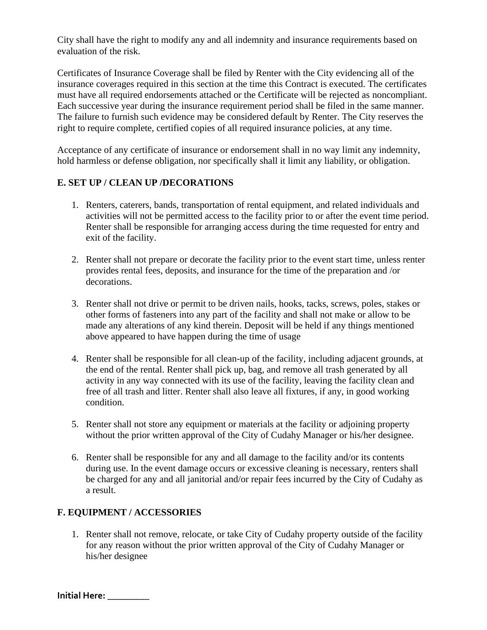City shall have the right to modify any and all indemnity and insurance requirements based on evaluation of the risk.

Certificates of Insurance Coverage shall be filed by Renter with the City evidencing all of the insurance coverages required in this section at the time this Contract is executed. The certificates must have all required endorsements attached or the Certificate will be rejected as noncompliant. Each successive year during the insurance requirement period shall be filed in the same manner. The failure to furnish such evidence may be considered default by Renter. The City reserves the right to require complete, certified copies of all required insurance policies, at any time.

Acceptance of any certificate of insurance or endorsement shall in no way limit any indemnity, hold harmless or defense obligation, nor specifically shall it limit any liability, or obligation.

## **E. SET UP / CLEAN UP /DECORATIONS**

- 1. Renters, caterers, bands, transportation of rental equipment, and related individuals and activities will not be permitted access to the facility prior to or after the event time period. Renter shall be responsible for arranging access during the time requested for entry and exit of the facility.
- 2. Renter shall not prepare or decorate the facility prior to the event start time, unless renter provides rental fees, deposits, and insurance for the time of the preparation and /or decorations.
- 3. Renter shall not drive or permit to be driven nails, hooks, tacks, screws, poles, stakes or other forms of fasteners into any part of the facility and shall not make or allow to be made any alterations of any kind therein. Deposit will be held if any things mentioned above appeared to have happen during the time of usage
- 4. Renter shall be responsible for all clean-up of the facility, including adjacent grounds, at the end of the rental. Renter shall pick up, bag, and remove all trash generated by all activity in any way connected with its use of the facility, leaving the facility clean and free of all trash and litter. Renter shall also leave all fixtures, if any, in good working condition.
- 5. Renter shall not store any equipment or materials at the facility or adjoining property without the prior written approval of the City of Cudahy Manager or his/her designee.
- 6. Renter shall be responsible for any and all damage to the facility and/or its contents during use. In the event damage occurs or excessive cleaning is necessary, renters shall be charged for any and all janitorial and/or repair fees incurred by the City of Cudahy as a result.

## **F. EQUIPMENT / ACCESSORIES**

1. Renter shall not remove, relocate, or take City of Cudahy property outside of the facility for any reason without the prior written approval of the City of Cudahy Manager or his/her designee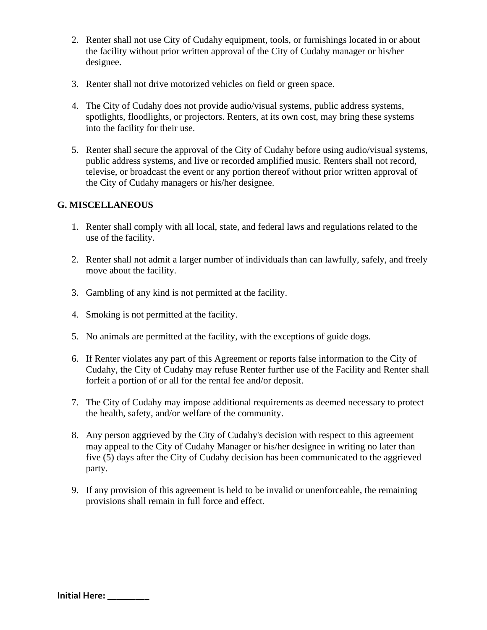- 2. Renter shall not use City of Cudahy equipment, tools, or furnishings located in or about the facility without prior written approval of the City of Cudahy manager or his/her designee.
- 3. Renter shall not drive motorized vehicles on field or green space.
- 4. The City of Cudahy does not provide audio/visual systems, public address systems, spotlights, floodlights, or projectors. Renters, at its own cost, may bring these systems into the facility for their use.
- 5. Renter shall secure the approval of the City of Cudahy before using audio/visual systems, public address systems, and live or recorded amplified music. Renters shall not record, televise, or broadcast the event or any portion thereof without prior written approval of the City of Cudahy managers or his/her designee.

## **G. MISCELLANEOUS**

- 1. Renter shall comply with all local, state, and federal laws and regulations related to the use of the facility.
- 2. Renter shall not admit a larger number of individuals than can lawfully, safely, and freely move about the facility.
- 3. Gambling of any kind is not permitted at the facility.
- 4. Smoking is not permitted at the facility.
- 5. No animals are permitted at the facility, with the exceptions of guide dogs.
- 6. If Renter violates any part of this Agreement or reports false information to the City of Cudahy, the City of Cudahy may refuse Renter further use of the Facility and Renter shall forfeit a portion of or all for the rental fee and/or deposit.
- 7. The City of Cudahy may impose additional requirements as deemed necessary to protect the health, safety, and/or welfare of the community.
- 8. Any person aggrieved by the City of Cudahy's decision with respect to this agreement may appeal to the City of Cudahy Manager or his/her designee in writing no later than five (5) days after the City of Cudahy decision has been communicated to the aggrieved party.
- 9. If any provision of this agreement is held to be invalid or unenforceable, the remaining provisions shall remain in full force and effect.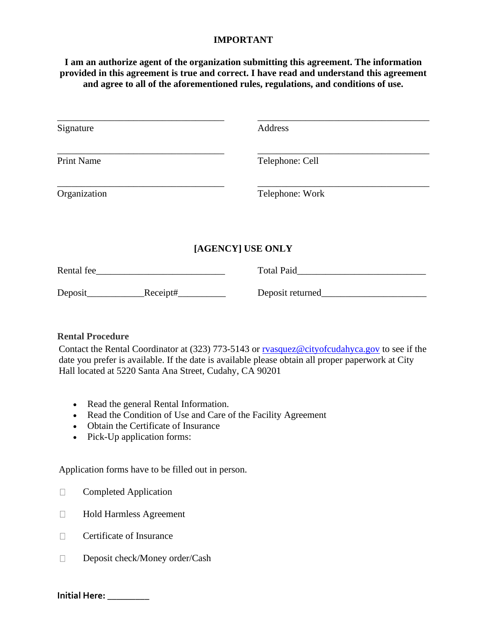#### **IMPORTANT**

**I am an authorize agent of the organization submitting this agreement. The information provided in this agreement is true and correct. I have read and understand this agreement and agree to all of the aforementioned rules, regulations, and conditions of use.** 

| Signature         |          | Address          |  |  |
|-------------------|----------|------------------|--|--|
| <b>Print Name</b> |          | Telephone: Cell  |  |  |
| Organization      |          | Telephone: Work  |  |  |
| [AGENCY] USE ONLY |          |                  |  |  |
| Rental fee_       |          | Total Paid       |  |  |
| Deposit_          | Receipt# | Deposit returned |  |  |

## **Rental Procedure**

Contact the Rental Coordinator at (323) 773-5143 or rvasquez@cityofcudahyca.gov to see if the date you prefer is available. If the date is available please obtain all proper paperwork at City Hall located at 5220 Santa Ana Street, Cudahy, CA 90201

- Read the general Rental Information.
- Read the Condition of Use and Care of the Facility Agreement
- Obtain the Certificate of Insurance
- Pick-Up application forms:

Application forms have to be filled out in person.

- **Completed Application**
- Hold Harmless Agreement
- $\Box$  Certificate of Insurance
- Deposit check/Money order/Cash